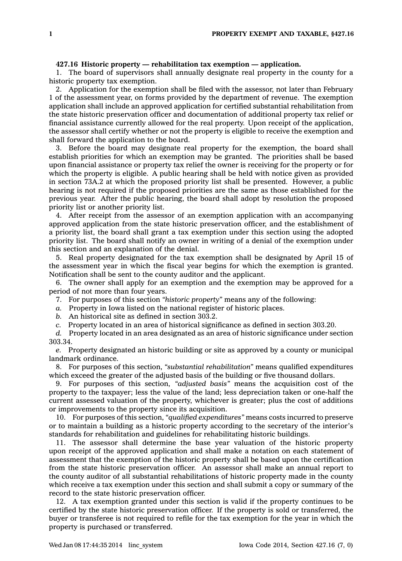## **427.16 Historic property — rehabilitation tax exemption — application.**

1. The board of supervisors shall annually designate real property in the county for <sup>a</sup> historic property tax exemption.

2. Application for the exemption shall be filed with the assessor, not later than February 1 of the assessment year, on forms provided by the department of revenue. The exemption application shall include an approved application for certified substantial rehabilitation from the state historic preservation officer and documentation of additional property tax relief or financial assistance currently allowed for the real property. Upon receipt of the application, the assessor shall certify whether or not the property is eligible to receive the exemption and shall forward the application to the board.

3. Before the board may designate real property for the exemption, the board shall establish priorities for which an exemption may be granted. The priorities shall be based upon financial assistance or property tax relief the owner is receiving for the property or for which the property is eligible. A public hearing shall be held with notice given as provided in section 73A.2 at which the proposed priority list shall be presented. However, <sup>a</sup> public hearing is not required if the proposed priorities are the same as those established for the previous year. After the public hearing, the board shall adopt by resolution the proposed priority list or another priority list.

4. After receipt from the assessor of an exemption application with an accompanying approved application from the state historic preservation officer, and the establishment of <sup>a</sup> priority list, the board shall grant <sup>a</sup> tax exemption under this section using the adopted priority list. The board shall notify an owner in writing of <sup>a</sup> denial of the exemption under this section and an explanation of the denial.

5. Real property designated for the tax exemption shall be designated by April 15 of the assessment year in which the fiscal year begins for which the exemption is granted. Notification shall be sent to the county auditor and the applicant.

6. The owner shall apply for an exemption and the exemption may be approved for <sup>a</sup> period of not more than four years.

- 7. For purposes of this section *"historic property"* means any of the following:
- *a.* Property in Iowa listed on the national register of historic places.
- *b.* An historical site as defined in section 303.2.

*c.* Property located in an area of historical significance as defined in section 303.20.

*d.* Property located in an area designated as an area of historic significance under section 303.34.

*e.* Property designated an historic building or site as approved by <sup>a</sup> county or municipal landmark ordinance.

8. For purposes of this section, *"substantial rehabilitation"* means qualified expenditures which exceed the greater of the adjusted basis of the building or five thousand dollars.

9. For purposes of this section, *"adjusted basis"* means the acquisition cost of the property to the taxpayer; less the value of the land; less depreciation taken or one-half the current assessed valuation of the property, whichever is greater; plus the cost of additions or improvements to the property since its acquisition.

10. For purposes of this section, *"qualified expenditures"* means costs incurred to preserve or to maintain <sup>a</sup> building as <sup>a</sup> historic property according to the secretary of the interior's standards for rehabilitation and guidelines for rehabilitating historic buildings.

11. The assessor shall determine the base year valuation of the historic property upon receipt of the approved application and shall make <sup>a</sup> notation on each statement of assessment that the exemption of the historic property shall be based upon the certification from the state historic preservation officer. An assessor shall make an annual report to the county auditor of all substantial rehabilitations of historic property made in the county which receive <sup>a</sup> tax exemption under this section and shall submit <sup>a</sup> copy or summary of the record to the state historic preservation officer.

12. A tax exemption granted under this section is valid if the property continues to be certified by the state historic preservation officer. If the property is sold or transferred, the buyer or transferee is not required to refile for the tax exemption for the year in which the property is purchased or transferred.